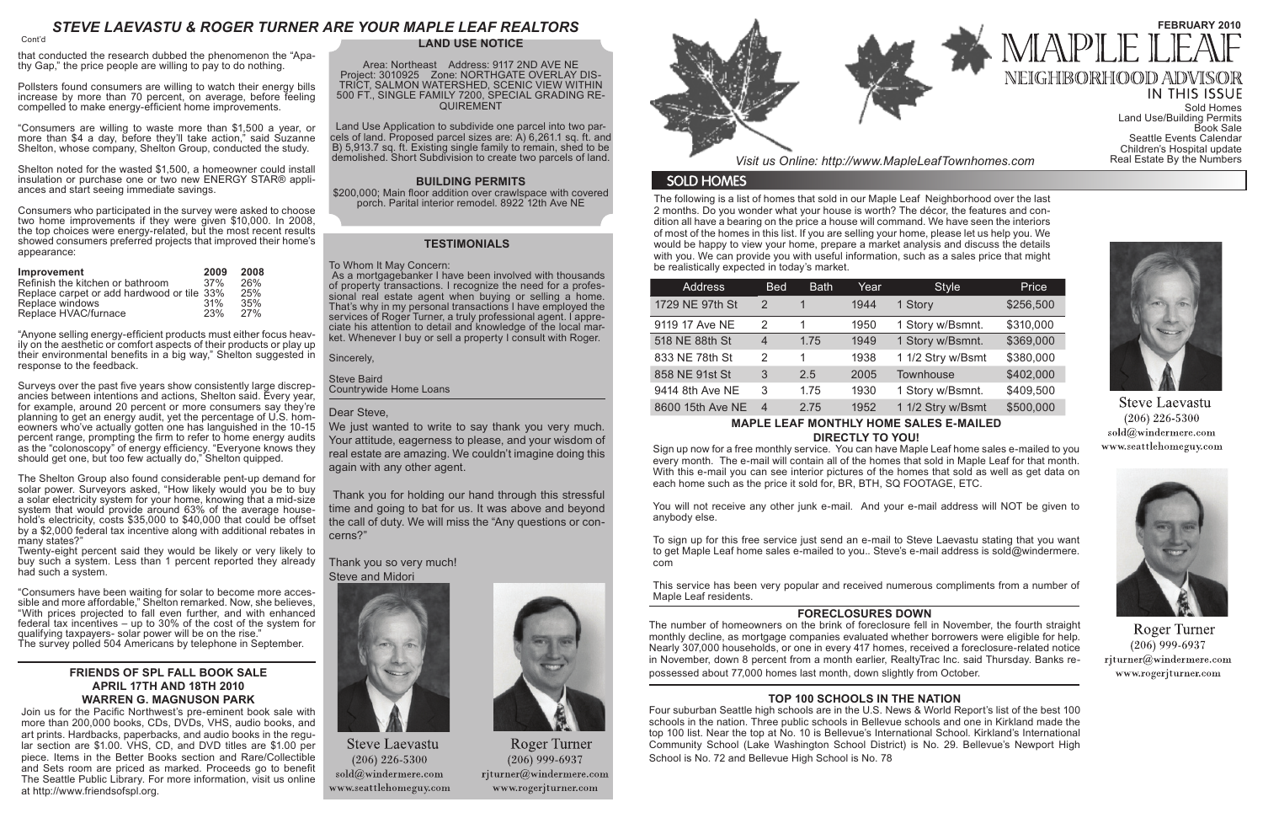The following is a list of homes that sold in our Maple Leaf Neighborhood over the last 2 months. Do you wonder what your house is worth? The décor, the features and condition all have a bearing on the price a house will command. We have seen the interiors of most of the homes in this list. If you are selling your home, please let us help you. We would be happy to view your home, prepare a market analysis and discuss the details with you. We can provide you with useful information, such as a sales price that might be realistically expected in today's market.

# *STEVE LAEVASTU & ROGER TURNER ARE YOUR MAPLE LEAF REALTORS*

| <b>Address</b>   | <b>Bed</b>     | <b>Bath</b> | Year | <b>Style</b>      | Price     |
|------------------|----------------|-------------|------|-------------------|-----------|
| 1729 NE 97th St  | 2              |             | 1944 | 1 Story           | \$256,500 |
| 9119 17 Ave NE   | 2              |             | 1950 | 1 Story w/Bsmnt.  | \$310,000 |
| 518 NE 88th St   | 4              | 1.75        | 1949 | 1 Story w/Bsmnt.  | \$369,000 |
| 833 NE 78th St   | 2              | 1           | 1938 | 1 1/2 Stry w/Bsmt | \$380,000 |
| 858 NE 91st St   | 3              | 2.5         | 2005 | Townhouse         | \$402,000 |
| 9414 8th Ave NE  | 3              | 1.75        | 1930 | 1 Story w/Bsmnt.  | \$409,500 |
| 8600 15th Ave NE | $\overline{4}$ | 2.75        | 1952 | 1 1/2 Stry w/Bsmt | \$500,000 |

# **MAPLE LEAF MONTHLY HOME SALES E-MAILED DIRECTLY TO YOU!**

Sign up now for a free monthly service. You can have Maple Leaf home sales e-mailed to you every month. The e-mail will contain all of the homes that sold in Maple Leaf for that month. With this e-mail you can see interior pictures of the homes that sold as well as get data on each home such as the price it sold for, BR, BTH, SQ FOOTAGE, ETC.

You will not receive any other junk e-mail. And your e-mail address will NOT be given to anybody else.

To sign up for this free service just send an e-mail to Steve Laevastu stating that you want to get Maple Leaf home sales e-mailed to you.. Steve's e-mail address is sold@windermere. com

This service has been very popular and received numerous compliments from a number of Maple Leaf residents.

### **FRIENDS OF SPL FALL BOOK SALE APRIL 17TH AND 18TH 2010 WARREN G. MAGNUSON PARK**

Join us for the Pacific Northwest's pre-eminent book sale with more than 200,000 books, CDs, DVDs, VHS, audio books, and art prints. Hardbacks, paperbacks, and audio books in the regular section are \$1.00. VHS, CD, and DVD titles are \$1.00 per piece. Items in the Better Books section and Rare/Collectible and Sets room are priced as marked. Proceeds go to benefit The Seattle Public Library. For more information, visit us online at http://www.friendsofspl.org.

#### **LAND USE NOTICE**

Area: Northeast Address: 9117 2ND AVE NE Project: 3010925 Zone: NORTHGATE OVERLAY DIS-TRICT, SALMON WATERSHED, SCENIC VIEW WITHIN 500 FT., SINGLE FAMILY 7200, SPECIAL GRADING RE-QUIREMENT

Land Use Application to subdivide one parcel into two parcels of land. Proposed parcel sizes are: A) 6,261.1 sq. ft. and B) 5,913.7 sq. ft. Existing single family to remain, shed to be demolished. Short Subdivision to create two parcels of land.

#### **BUILDING PERMITS**

\$200,000; Main floor addition over crawlspace with covered porch. Parital interior remodel. 8922 12th Ave NE

that conducted the research dubbed the phenomenon the "Apathy Gap," the price people are willing to pay to do nothing.

> We just wanted to write to say thank you very much. Your attitude, eagerness to please, and your wisdom of real estate are amazing. We couldn't imagine doing this again with any other agent.

Pollsters found consumers are willing to watch their energy bills increase by more than 70 percent, on average, before feeling compelled to make energy-efficient home improvements.

"Consumers are willing to waste more than \$1,500 a year, or more than \$4 a day, before they'll take action," said Suzanne Shelton, whose company, Shelton Group, conducted the study.

Shelton noted for the wasted \$1,500, a homeowner could install insulation or purchase one or two new ENERGY STAR® appli- ances and start seeing immediate savings.

Consumers who participated in the survey were asked to choose two home improvements if they were given \$10,000. In 2008, the top choices were energy-related, but the most recent results showed consumers preferred projects that improved their home's appearance:

| <b>Improvement</b>                                                             | 2009<br>37% | 2008<br>26% |
|--------------------------------------------------------------------------------|-------------|-------------|
| Refinish the kitchen or bathroom<br>Replace carpet or add hardwood or tile 33% |             | 25%         |
| Replace windows<br>Replace HVAC/furnace                                        | 31%<br>23%  | 35%<br>27%  |

"Anyone selling energy-efficient products must either focus heav- ily on the aesthetic or comfort aspects of their products or play up their environmental benefits in a big way," Shelton suggested in response to the feedback.

Surveys over the past five years show consistently large discrep- ancies between intentions and actions, Shelton said. Every year, for example, around 20 percent or more consumers say they're planning to get an energy audit, yet the percentage of U.S. homeowners who've actually gotten one has languished in the 10-15 percent range, prompting the firm to refer to home energy audits as the "colonoscopy" of energy efficiency. "Everyone knows they should get one, but too few actually do," Shelton quipped.

The Shelton Group also found considerable pent-up demand for solar power. Surveyors asked, "How likely would you be to buy a solar electricity system for your home, knowing that a mid-size hold's electricity, costs  $$35,000$  to  $$40,000$  that could be offset by a \$2,000 federal tax incentive along with additional rebates in many states?"

Twenty-eight percent said they would be likely or very likely to buy such a system. Less than 1 percent reported they already had such a system.

"Consumers have been waiting for solar to become more accessible and more affordable," Shelton remarked. Now, she believes, "With prices projected to fall even further, and with enhanced federal tax incentives – up to 30% of the cost of the system for qualifying taxpayers- solar power will be on the rise." The survey polled 504 Americans by telephone in September.

Cont'd

### **TESTIMONIALS**

#### To Whom It May Concern:

 As a mortgagebanker I have been involved with thousands of property transactions. I recognize the need for a professional real estate agent when buying or selling a home. That's why in my personal transactions I have employed the services of Roger Turner, a truly professional agent. I appreciate his attention to detail and knowledge of the local market. Whenever I buy or sell a property I consult with Roger.

Sincerely,

Steve Baird Countrywide Home Loans

#### Dear Steve,

 Thank you for holding our hand through this stressful time and going to bat for us. It was above and beyond the call of duty. We will miss the "Any questions or concerns?"

#### Thank you so very much! Steve and Midori



**Steve Laevastu**  $(206)$  226-5300 sold@windermere.com www.seattlehomeguy.com



**Roger Turner**  $(206)$  999-6937 rjturner@windermere.com www.rogerjturner.com



*Visit us Online: http://www.MapleLeafTownhomes.com* 

# **SOLD HOMES**

# **FORECLOSURES DOWN**

The number of homeowners on the brink of foreclosure fell in November, the fourth straight monthly decline, as mortgage companies evaluated whether borrowers were eligible for help. Nearly 307,000 households, or one in every 417 homes, received a foreclosure-related notice in November, down 8 percent from a month earlier, RealtyTrac Inc. said Thursday. Banks repossessed about 77,000 homes last month, down slightly from October.

# **TOP 100 SCHOOLS IN THE NATION**

Four suburban Seattle high schools are in the U.S. News & World Report's list of the best 100 schools in the nation. Three public schools in Bellevue schools and one in Kirkland made the top 100 list. Near the top at No. 10 is Bellevue's International School. Kirkland's International Community School (Lake Washington School District) is No. 29. Bellevue's Newport High School is No. 72 and Bellevue High School is No. 78



# **FEBRUARY 2010** NEIGHBORHOOD ADV

**IN THIS ISSUE** Sold Homes Land Use/Building Permits Book Sale Seattle Events Calendar Children's Hospital update<br>Real Estate By the Numbers



**Steve Laevastu**  $(206)$  226-5300 sold@windermere.com www.seattlehomeguy.com



**Roger Turner**  $(206)$  999-6937 rjturner@windermere.com www.rogerjturner.com